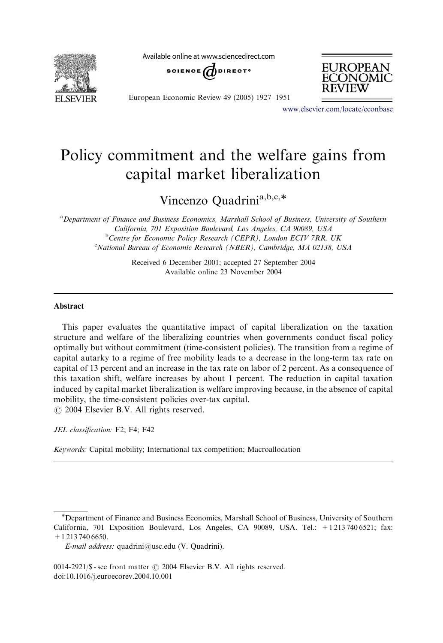**FI SEVIER** 

Available online at www.sciencedirect.com





European Economic Review 49 (2005) 1927–1951

<www.elsevier.com/locate/econbase>

## Policy commitment and the welfare gains from capital market liberalization

Vincenzo Quadrini<sup>a,b,c,\*</sup>

<sup>a</sup> Department of Finance and Business Economics, Marshall School of Business, University of Southern California, 701 Exposition Boulevard, Los Angeles, CA 90089, USA <sup>b</sup>Centre for Economic Policy Research (CEPR), London ECIV 7RR, UK <sup>c</sup>National Bureau of Economic Research (NBER), Cambridge, MA 02138, USA

> Received 6 December 2001; accepted 27 September 2004 Available online 23 November 2004

## Abstract

This paper evaluates the quantitative impact of capital liberalization on the taxation structure and welfare of the liberalizing countries when governments conduct fiscal policy optimally but without commitment (time-consistent policies). The transition from a regime of capital autarky to a regime of free mobility leads to a decrease in the long-term tax rate on capital of 13 percent and an increase in the tax rate on labor of 2 percent. As a consequence of this taxation shift, welfare increases by about 1 percent. The reduction in capital taxation induced by capital market liberalization is welfare improving because, in the absence of capital mobility, the time-consistent policies over-tax capital.

 $\odot$  2004 Elsevier B.V. All rights reserved.

JEL classification: F2; F4; F42

Keywords: Capital mobility; International tax competition; Macroallocation

Department of Finance and Business Economics, Marshall School of Business, University of Southern California, 701 Exposition Boulevard, Los Angeles, CA 90089, USA. Tel.: +1 213 740 6521; fax: +1 213 740 6650.

E-mail address: quadrini@usc.edu (V. Quadrini).

 $0014-2921/\$$  - see front matter  $\odot$  2004 Elsevier B.V. All rights reserved. doi:10.1016/j.euroecorev.2004.10.001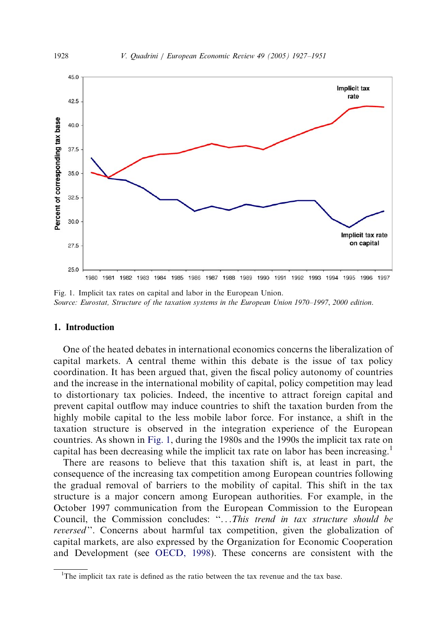

Fig. 1. Implicit tax rates on capital and labor in the European Union. Source: Eurostat, Structure of the taxation systems in the European Union 1970–1997, 2000 edition.

## 1. Introduction

One of the heated debates in international economics concerns the liberalization of capital markets. A central theme within this debate is the issue of tax policy coordination. It has been argued that, given the fiscal policy autonomy of countries and the increase in the international mobility of capital, policy competition may lead to distortionary tax policies. Indeed, the incentive to attract foreign capital and prevent capital outflow may induce countries to shift the taxation burden from the highly mobile capital to the less mobile labor force. For instance, a shift in the taxation structure is observed in the integration experience of the European countries. As shown in Fig. 1, during the 1980s and the 1990s the implicit tax rate on capital has been decreasing while the implicit tax rate on labor has been increasing.<sup>1</sup>

There are reasons to believe that this taxation shift is, at least in part, the consequence of the increasing tax competition among European countries following the gradual removal of barriers to the mobility of capital. This shift in the tax structure is a major concern among European authorities. For example, in the October 1997 communication from the European Commission to the European Council, the Commission concludes: ''...This trend in tax structure should be reversed". Concerns about harmful tax competition, given the globalization of capital markets, are also expressed by the Organization for Economic Cooperation and Development (see [OECD, 1998\)](#page--1-0). These concerns are consistent with the

<sup>&</sup>lt;sup>1</sup>The implicit tax rate is defined as the ratio between the tax revenue and the tax base.